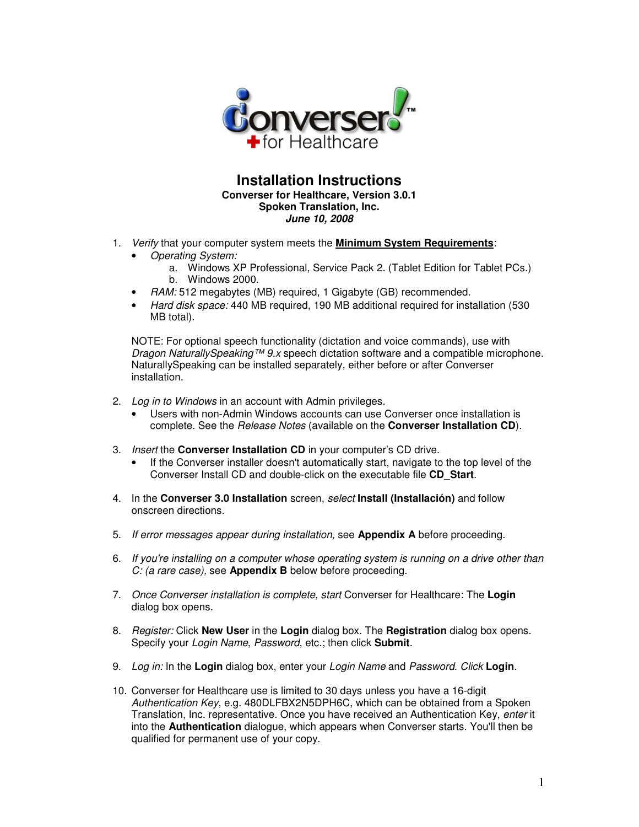

### **Installation Instructions Converser for Healthcare, Version 3.0.1 Spoken Translation, Inc. June 10, 2008**

- 1. Verify that your computer system meets the **Minimum System Requirements**:
	- Operating System:
		- a. Windows XP Professional, Service Pack 2. (Tablet Edition for Tablet PCs.) b. Windows 2000.
	- RAM: 512 megabytes (MB) required, 1 Gigabyte (GB) recommended.
	- Hard disk space: 440 MB required, 190 MB additional required for installation (530 MB total).

NOTE: For optional speech functionality (dictation and voice commands), use with Dragon NaturallySpeaking™ 9.x speech dictation software and a compatible microphone. NaturallySpeaking can be installed separately, either before or after Converser installation.

- 2. Log in to Windows in an account with Admin privileges.
	- Users with non-Admin Windows accounts can use Converser once installation is complete. See the Release Notes (available on the **Converser Installation CD**).
- 3. Insert the **Converser Installation CD** in your computer's CD drive.
	- If the Converser installer doesn't automatically start, navigate to the top level of the Converser Install CD and double-click on the executable file **CD\_Start**.
- 4. In the **Converser 3.0 Installation** screen, select **Install (Installación)** and follow onscreen directions.
- 5. If error messages appear during installation, see **Appendix A** before proceeding.
- 6. If you're installing on a computer whose operating system is running on a drive other than C: (a rare case), see **Appendix B** below before proceeding.
- 7. Once Converser installation is complete, start Converser for Healthcare: The **Login** dialog box opens.
- 8. Register: Click **New User** in the **Login** dialog box. The **Registration** dialog box opens. Specify your Login Name, Password, etc.; then click **Submit**.
- 9. Log in: In the **Login** dialog box, enter your Login Name and Password. Click **Login**.
- 10. Converser for Healthcare use is limited to 30 days unless you have a 16-digit Authentication Key, e.g. 480DLFBX2N5DPH6C, which can be obtained from a Spoken Translation, Inc. representative. Once you have received an Authentication Key, enter it into the **Authentication** dialogue, which appears when Converser starts. You'll then be qualified for permanent use of your copy.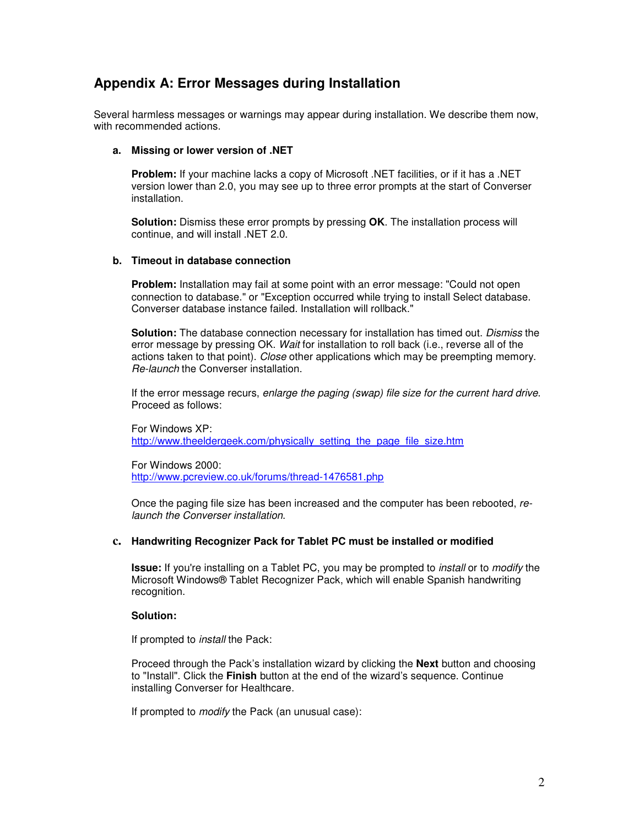# **Appendix A: Error Messages during Installation**

Several harmless messages or warnings may appear during installation. We describe them now, with recommended actions.

#### **a. Missing or lower version of .NET**

**Problem:** If your machine lacks a copy of Microsoft .NET facilities, or if it has a .NET version lower than 2.0, you may see up to three error prompts at the start of Converser installation.

**Solution:** Dismiss these error prompts by pressing OK. The installation process will continue, and will install .NET 2.0.

#### **b. Timeout in database connection**

**Problem:** Installation may fail at some point with an error message: "Could not open connection to database." or "Exception occurred while trying to install Select database. Converser database instance failed. Installation will rollback."

**Solution:** The database connection necessary for installation has timed out. Dismiss the error message by pressing OK. Wait for installation to roll back (i.e., reverse all of the actions taken to that point). Close other applications which may be preempting memory. Re-launch the Converser installation.

If the error message recurs, enlarge the paging (swap) file size for the current hard drive. Proceed as follows:

For Windows XP: http://www.theeldergeek.com/physically\_setting\_the\_page\_file\_size.htm

For Windows 2000: http://www.pcreview.co.uk/forums/thread-1476581.php

Once the paging file size has been increased and the computer has been rebooted, relaunch the Converser installation.

### **c. Handwriting Recognizer Pack for Tablet PC must be installed or modified**

**Issue:** If you're installing on a Tablet PC, you may be prompted to install or to modify the Microsoft Windows® Tablet Recognizer Pack, which will enable Spanish handwriting recognition.

#### **Solution:**

If prompted to install the Pack:

Proceed through the Pack's installation wizard by clicking the **Next** button and choosing to "Install". Click the **Finish** button at the end of the wizard's sequence. Continue installing Converser for Healthcare.

If prompted to *modify* the Pack (an unusual case):